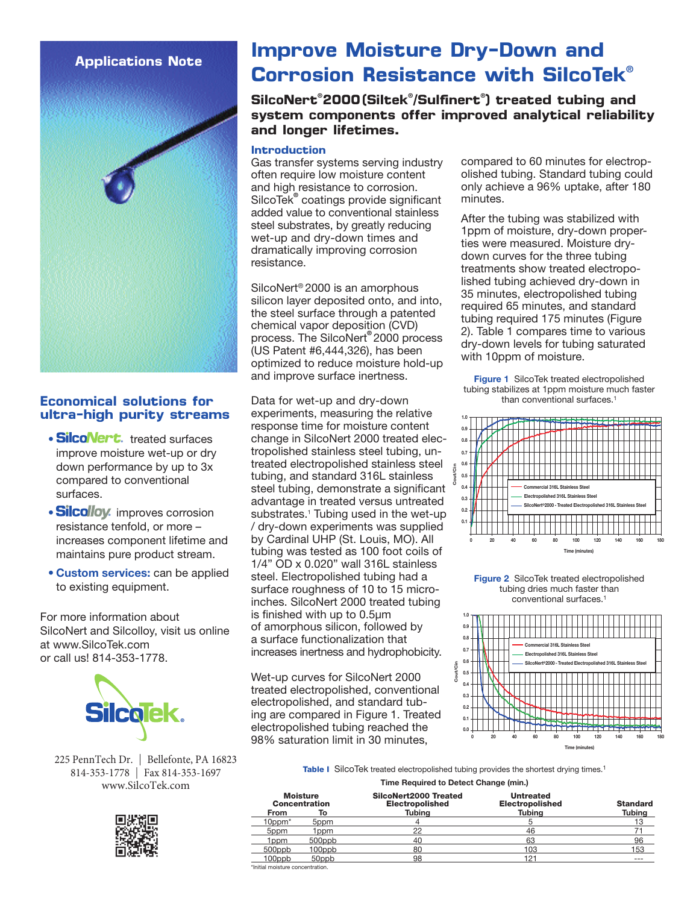## **Applications Note**



## **Economical solutions for ultra-high purity streams**

- SilcoNert. treated surfaces improve moisture wet-up or dry down performance by up to 3x compared to conventional surfaces.
- Silcolloy. improves corrosion resistance tenfold, or more – increases component lifetime and maintains pure product stream.
- Custom services: can be applied to existing equipment.

For more information about SilcoNert and Silcolloy, visit us online at www.SilcoTek.com or call us! 814-353-1778.



225 PennTech Dr. | Bellefonte, PA 16823 814-353-1778 | Fax 814-353-1697 www.SilcoTek.com



# **Improve Moisture Dry-Down and Corrosion Resistance with SilcoTek**®

**SilcoNert**® **2000 (Siltek**® **/Sulfinert**® **) treated tubing and system components offer improved analytical reliability and longer lifetimes.**

#### **Introduction**

Gas transfer systems serving industry often require low moisture content and high resistance to corrosion. SilcoTek® coatings provide significant added value to conventional stainless steel substrates, by greatly reducing wet-up and dry-down times and dramatically improving corrosion resistance.

SilcoNert® 2000 is an amorphous silicon layer deposited onto, and into, the steel surface through a patented chemical vapor deposition (CVD) process. The SilcoNert® 2000 process (US Patent #6,444,326), has been optimized to reduce moisture hold-up and improve surface inertness.

Data for wet-up and dry-down experiments, measuring the relative response time for moisture content change in SilcoNert 2000 treated electropolished stainless steel tubing, untreated electropolished stainless steel tubing, and standard 316L stainless steel tubing, demonstrate a significant advantage in treated versus untreated substrates.<sup>1</sup> Tubing used in the wet-up / dry-down experiments was supplied by Cardinal UHP (St. Louis, MO). All tubing was tested as 100 foot coils of 1/4" OD x 0.020" wall 316L stainless steel. Electropolished tubing had a surface roughness of 10 to 15 microinches. SilcoNert 2000 treated tubing is finished with up to 0.5µm of amorphous silicon, followed by a surface functionalization that increases inertness and hydrophobicity.

Wet-up curves for SilcoNert 2000 treated electropolished, conventional electropolished, and standard tubing are compared in Figure 1. Treated electropolished tubing reached the 98% saturation limit in 30 minutes,

compared to 60 minutes for electropolished tubing. Standard tubing could only achieve a 96% uptake, after 180 minutes.

After the tubing was stabilized with 1ppm of moisture, dry-down properties were measured. Moisture drydown curves for the three tubing treatments show treated electropolished tubing achieved dry-down in 35 minutes, electropolished tubing required 65 minutes, and standard tubing required 175 minutes (Figure 2). Table 1 compares time to various dry-down levels for tubing saturated with 10ppm of moisture.

Figure 1 SilcoTek treated electropolished tubing stabilizes at 1ppm moisture much faster than conventional surfaces.1



Figure 2 SilcoTek treated electropolished tubing dries much faster than conventional surfaces.1



Table I SilcoTek treated electropolished tubing provides the shortest drying times.<sup>1</sup>

Time Required to Detect Change (min.)

| <b>Moisture</b><br><b>Concentration</b> |        | SilcoNert2000 Treated<br><b>Electropolished</b> | <b>Untreated</b><br><b>Electropolished</b> | <b>Standard</b> |
|-----------------------------------------|--------|-------------------------------------------------|--------------------------------------------|-----------------|
| <b>From</b>                             | To     | Tubina                                          | Tubina                                     | Tubina          |
| $10$ ppm $*$                            | 5ppm   |                                                 |                                            | 13              |
| 5ppm                                    | 1 ppm  | 22                                              | 46                                         |                 |
| 1 ppm                                   | 500ppb | 40                                              | 63                                         | 96              |
| 500ppb                                  | 100ppb | 80                                              | 103                                        | 153             |
| 100ppb                                  | 50ppb  | 98                                              | 121                                        | $- - -$         |
| *Initial moisture concentration.        |        |                                                 |                                            |                 |